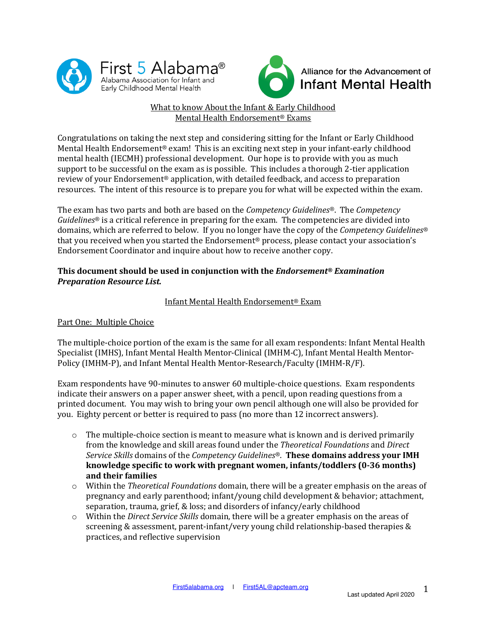



# What to know About the Infant & Early Childhood Mental Health Endorsement<sup>®</sup> Exams

Congratulations on taking the next step and considering sitting for the Infant or Early Childhood Mental Health Endorsement<sup>®</sup> exam! This is an exciting next step in your infant-early childhood mental health (IECMH) professional development. Our hope is to provide with you as much support to be successful on the exam as is possible. This includes a thorough 2-tier application review of your Endorsement® application, with detailed feedback, and access to preparation resources. The intent of this resource is to prepare you for what will be expected within the exam.

The exam has two parts and both are based on the *Competency Guidelines<sup>®</sup>*. The *Competency Guidelines*<sup>®</sup> is a critical reference in preparing for the exam. The competencies are divided into domains, which are referred to below. If you no longer have the copy of the *Competency Guidelines*<sup>®</sup> that you received when you started the Endorsement® process, please contact your association's Endorsement Coordinator and inquire about how to receive another copy.

## **This document should be used in conjunction with the** *Endorsement***®** *Examination Preparation Resource List.*

# Infant Mental Health Endorsement<sup>®</sup> Exam

## Part One: Multiple Choice

The multiple-choice portion of the exam is the same for all exam respondents: Infant Mental Health Specialist (IMHS), Infant Mental Health Mentor-Clinical (IMHM-C), Infant Mental Health Mentor-Policy (IMHM-P), and Infant Mental Health Mentor-Research/Faculty (IMHM-R/F).

Exam respondents have 90-minutes to answer 60 multiple-choice questions. Exam respondents indicate their answers on a paper answer sheet, with a pencil, upon reading questions from a printed document. You may wish to bring your own pencil although one will also be provided for you. Eighty percent or better is required to pass (no more than 12 incorrect answers).

- $\circ$  The multiple-choice section is meant to measure what is known and is derived primarily from the knowledge and skill areas found under the *Theoretical Foundations* and *Direct Service Skills* domains of the *Competency Guidelines*<sup>®</sup>. **These domains address your IMH knowledge specific to work with pregnant women, infants/toddlers (0-36 months) and their families**
- $\circ$  Within the *Theoretical Foundations* domain, there will be a greater emphasis on the areas of pregnancy and early parenthood; infant/young child development & behavior; attachment, separation, trauma, grief, & loss; and disorders of infancy/early childhood
- o Within the *Direct Service Skills* domain, there will be a greater emphasis on the areas of screening & assessment, parent-infant/very young child relationship-based therapies  $\&$ practices, and reflective supervision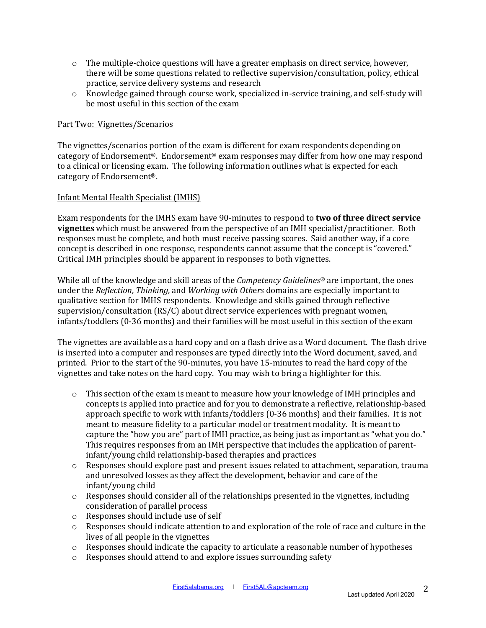- $\circ$  The multiple-choice questions will have a greater emphasis on direct service, however, there will be some questions related to reflective supervision/consultation, policy, ethical practice, service delivery systems and research
- $\circ$  Knowledge gained through course work, specialized in-service training, and self-study will be most useful in this section of the exam

#### Part Two: Vignettes/Scenarios

The vignettes/scenarios portion of the exam is different for exam respondents depending on category of Endorsement<sup>®</sup>. Endorsement<sup>®</sup> exam responses may differ from how one may respond to a clinical or licensing exam. The following information outlines what is expected for each category of Endorsement<sup>®</sup>.

### Infant Mental Health Specialist (IMHS)

Exam respondents for the IMHS exam have 90-minutes to respond to **two of three direct service vignettes** which must be answered from the perspective of an IMH specialist/practitioner. Both responses must be complete, and both must receive passing scores. Said another way, if a core concept is described in one response, respondents cannot assume that the concept is "covered." Critical IMH principles should be apparent in responses to both vignettes.

While all of the knowledge and skill areas of the *Competency Guidelines*<sup>®</sup> are important, the ones under the *Reflection*, *Thinking*, and *Working with Others* domains are especially important to qualitative section for IMHS respondents. Knowledge and skills gained through reflective supervision/consultation  $(RS/C)$  about direct service experiences with pregnant women, infants/toddlers (0-36 months) and their families will be most useful in this section of the exam

The vignettes are available as a hard copy and on a flash drive as a Word document. The flash drive is inserted into a computer and responses are typed directly into the Word document, saved, and printed. Prior to the start of the 90-minutes, you have 15-minutes to read the hard copy of the vignettes and take notes on the hard copy. You may wish to bring a highlighter for this.

- $\circ$  This section of the exam is meant to measure how your knowledge of IMH principles and concepts is applied into practice and for you to demonstrate a reflective, relationship-based approach specific to work with infants/toddlers  $(0-36 \text{ months})$  and their families. It is not meant to measure fidelity to a particular model or treatment modality. It is meant to capture the "how you are" part of IMH practice, as being just as important as "what you do." This requires responses from an IMH perspective that includes the application of parentinfant/young child relationship-based therapies and practices
- $\circ$  Responses should explore past and present issues related to attachment, separation, trauma and unresolved losses as they affect the development, behavior and care of the infant/young child
- o Responses should consider all of the relationships presented in the vignettes, including consideration of parallel process
- $\circ$  Responses should include use of self
- $\circ$  Responses should indicate attention to and exploration of the role of race and culture in the lives of all people in the vignettes
- $\circ$  Responses should indicate the capacity to articulate a reasonable number of hypotheses
- $\circ$  Responses should attend to and explore issues surrounding safety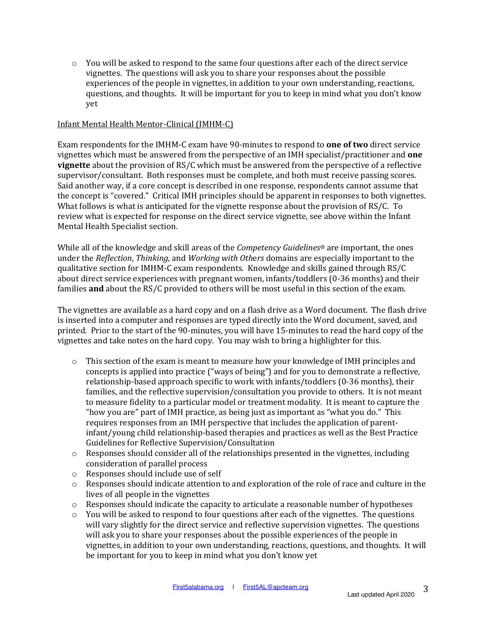$\circ$  You will be asked to respond to the same four questions after each of the direct service vignettes. The questions will ask you to share your responses about the possible experiences of the people in vignettes, in addition to your own understanding, reactions, questions, and thoughts. It will be important for you to keep in mind what you don't know yet

### Infant Mental Health Mentor-Clinical (IMHM-C)

Exam respondents for the IMHM-C exam have 90-minutes to respond to **one of two** direct service vignettes which must be answered from the perspective of an IMH specialist/practitioner and **one vignette** about the provision of RS/C which must be answered from the perspective of a reflective supervisor/consultant. Both responses must be complete, and both must receive passing scores. Said another way, if a core concept is described in one response, respondents cannot assume that the concept is "covered." Critical IMH principles should be apparent in responses to both vignettes. What follows is what is anticipated for the vignette response about the provision of  $RS/C$ . To review what is expected for response on the direct service vignette, see above within the Infant Mental Health Specialist section.

While all of the knowledge and skill areas of the *Competency Guidelines*<sup>®</sup> are important, the ones under the *Reflection*, *Thinking*, and *Working with Others* domains are especially important to the qualitative section for IMHM-C exam respondents. Knowledge and skills gained through RS/C about direct service experiences with pregnant women, infants/toddlers (0-36 months) and their families **and** about the RS/C provided to others will be most useful in this section of the exam.

The vignettes are available as a hard copy and on a flash drive as a Word document. The flash drive is inserted into a computer and responses are typed directly into the Word document, saved, and printed. Prior to the start of the 90-minutes, you will have 15-minutes to read the hard copy of the vignettes and take notes on the hard copy. You may wish to bring a highlighter for this.

- $\circ$  This section of the exam is meant to measure how your knowledge of IMH principles and concepts is applied into practice ("ways of being") and for you to demonstrate a reflective, relationship-based approach specific to work with infants/toddlers (0-36 months), their families, and the reflective supervision/consultation you provide to others. It is not meant to measure fidelity to a particular model or treatment modality. It is meant to capture the "how you are" part of IMH practice, as being just as important as "what you do." This requires responses from an IMH perspective that includes the application of parentinfant/young child relationship-based therapies and practices as well as the Best Practice Guidelines for Reflective Supervision/Consultation
- $\circ$  Responses should consider all of the relationships presented in the vignettes, including consideration of parallel process
- $\circ$  Responses should include use of self
- o Responses should indicate attention to and exploration of the role of race and culture in the lives of all people in the vignettes
- $\circ$  Responses should indicate the capacity to articulate a reasonable number of hypotheses
- $\circ$  You will be asked to respond to four questions after each of the vignettes. The questions will vary slightly for the direct service and reflective supervision vignettes. The questions will ask you to share your responses about the possible experiences of the people in vignettes, in addition to your own understanding, reactions, questions, and thoughts. It will be important for you to keep in mind what you don't know yet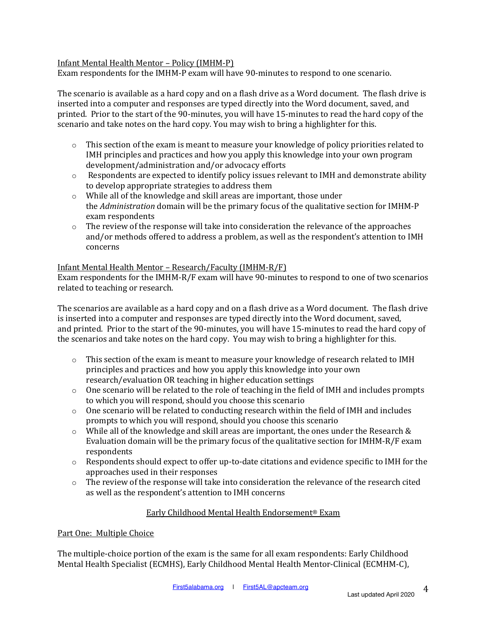### Infant Mental Health Mentor - Policy (IMHM-P)

Exam respondents for the IMHM-P exam will have 90-minutes to respond to one scenario.

The scenario is available as a hard copy and on a flash drive as a Word document. The flash drive is inserted into a computer and responses are typed directly into the Word document, saved, and printed. Prior to the start of the 90-minutes, you will have 15-minutes to read the hard copy of the scenario and take notes on the hard copy. You may wish to bring a highlighter for this.

- $\circ$  This section of the exam is meant to measure your knowledge of policy priorities related to IMH principles and practices and how you apply this knowledge into your own program development/administration and/or advocacy efforts
- $\circ$  Respondents are expected to identify policy issues relevant to IMH and demonstrate ability to develop appropriate strategies to address them
- $\circ$  While all of the knowledge and skill areas are important, those under the *Administration* domain will be the primary focus of the qualitative section for IMHM-P exam respondents
- $\circ$  The review of the response will take into consideration the relevance of the approaches and/or methods offered to address a problem, as well as the respondent's attention to IMH concerns

#### Infant Mental Health Mentor - Research/Faculty (IMHM-R/F)

Exam respondents for the IMHM-R/F exam will have  $90$ -minutes to respond to one of two scenarios related to teaching or research.

The scenarios are available as a hard copy and on a flash drive as a Word document. The flash drive is inserted into a computer and responses are typed directly into the Word document, saved, and printed. Prior to the start of the 90-minutes, you will have 15-minutes to read the hard copy of the scenarios and take notes on the hard copy. You may wish to bring a highlighter for this.

- $\circ$  This section of the exam is meant to measure your knowledge of research related to IMH principles and practices and how you apply this knowledge into your own research/evaluation OR teaching in higher education settings
- $\circ$  One scenario will be related to the role of teaching in the field of IMH and includes prompts to which you will respond, should you choose this scenario
- $\circ$  One scenario will be related to conducting research within the field of IMH and includes prompts to which you will respond, should you choose this scenario
- $\circ$  While all of the knowledge and skill areas are important, the ones under the Research & Evaluation domain will be the primary focus of the qualitative section for  $IMHM-R/F$  exam respondents
- $\circ$  Respondents should expect to offer up-to-date citations and evidence specific to IMH for the approaches used in their responses
- $\circ$  The review of the response will take into consideration the relevance of the research cited as well as the respondent's attention to IMH concerns

## Early Childhood Mental Health Endorsement<sup>®</sup> Exam

#### Part One: Multiple Choice

The multiple-choice portion of the exam is the same for all exam respondents: Early Childhood Mental Health Specialist (ECMHS), Early Childhood Mental Health Mentor-Clinical (ECMHM-C),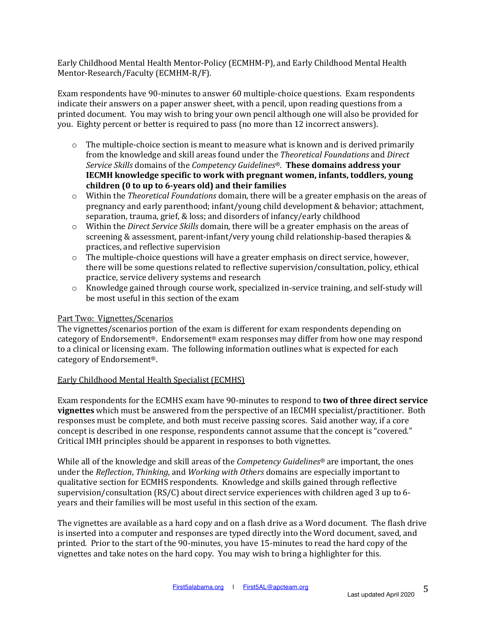Early Childhood Mental Health Mentor-Policy (ECMHM-P), and Early Childhood Mental Health Mentor-Research/Faculty (ECMHM-R/F).

Exam respondents have 90-minutes to answer 60 multiple-choice questions. Exam respondents indicate their answers on a paper answer sheet, with a pencil, upon reading questions from a printed document. You may wish to bring your own pencil although one will also be provided for you. Eighty percent or better is required to pass (no more than 12 incorrect answers).

- $\circ$  The multiple-choice section is meant to measure what is known and is derived primarily from the knowledge and skill areas found under the *Theoretical Foundations* and *Direct Service Skills* domains of the *Competency Guidelines*<sup>®</sup>. **These domains address your IECMH** knowledge specific to work with pregnant women, infants, toddlers, young **children (0 to up to 6-years old) and their families**
- o Within the *Theoretical Foundations* domain, there will be a greater emphasis on the areas of pregnancy and early parenthood; infant/young child development & behavior; attachment, separation, trauma, grief, & loss; and disorders of infancy/early childhood
- o Within the *Direct Service Skills* domain, there will be a greater emphasis on the areas of screening & assessment, parent-infant/very young child relationship-based therapies & practices, and reflective supervision
- $\circ$  The multiple-choice questions will have a greater emphasis on direct service, however, there will be some questions related to reflective supervision/consultation, policy, ethical practice, service delivery systems and research
- $\circ$  Knowledge gained through course work, specialized in-service training, and self-study will be most useful in this section of the exam

### Part Two: Vignettes/Scenarios

The vignettes/scenarios portion of the exam is different for exam respondents depending on category of Endorsement<sup>®</sup>. Endorsement<sup>®</sup> exam responses may differ from how one may respond to a clinical or licensing exam. The following information outlines what is expected for each category of Endorsement<sup>®</sup>.

#### Early Childhood Mental Health Specialist (ECMHS)

Exam respondents for the ECMHS exam have 90-minutes to respond to **two of three direct service vignettes** which must be answered from the perspective of an IECMH specialist/practitioner. Both responses must be complete, and both must receive passing scores. Said another way, if a core concept is described in one response, respondents cannot assume that the concept is "covered." Critical IMH principles should be apparent in responses to both vignettes.

While all of the knowledge and skill areas of the *Competency Guidelines*<sup>®</sup> are important, the ones under the *Reflection*, *Thinking*, and *Working with Others* domains are especially important to qualitative section for ECMHS respondents. Knowledge and skills gained through reflective supervision/consultation (RS/C) about direct service experiences with children aged 3 up to 6years and their families will be most useful in this section of the exam.

The vignettes are available as a hard copy and on a flash drive as a Word document. The flash drive is inserted into a computer and responses are typed directly into the Word document, saved, and printed. Prior to the start of the 90-minutes, you have 15-minutes to read the hard copy of the vignettes and take notes on the hard copy. You may wish to bring a highlighter for this.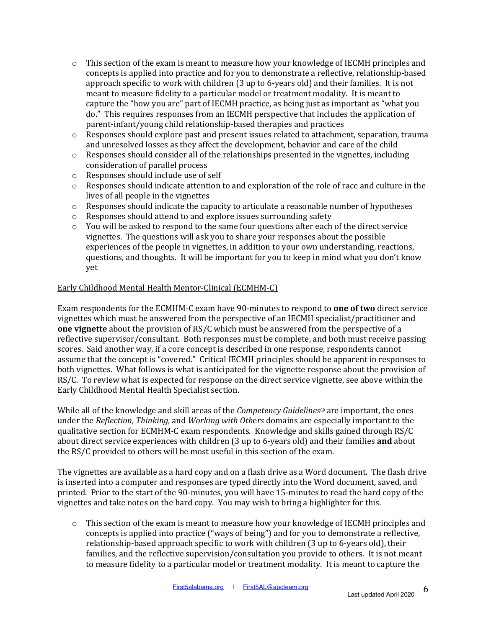- $\circ$  This section of the exam is meant to measure how your knowledge of IECMH principles and concepts is applied into practice and for you to demonstrate a reflective, relationship-based approach specific to work with children (3 up to 6-years old) and their families. It is not meant to measure fidelity to a particular model or treatment modality. It is meant to capture the "how you are" part of IECMH practice, as being just as important as "what you do." This requires responses from an IECMH perspective that includes the application of parent-infant/young child relationship-based therapies and practices
- $\circ$  Responses should explore past and present issues related to attachment, separation, trauma and unresolved losses as they affect the development, behavior and care of the child
- $\circ$  Responses should consider all of the relationships presented in the vignettes, including consideration of parallel process
- $\circ$  Responses should include use of self
- $\circ$  Responses should indicate attention to and exploration of the role of race and culture in the lives of all people in the vignettes
- $\circ$  Responses should indicate the capacity to articulate a reasonable number of hypotheses
- $\circ$  Responses should attend to and explore issues surrounding safety
- $\circ$  You will be asked to respond to the same four questions after each of the direct service vignettes. The questions will ask you to share your responses about the possible experiences of the people in vignettes, in addition to your own understanding, reactions, questions, and thoughts. It will be important for you to keep in mind what you don't know yet

### Early Childhood Mental Health Mentor-Clinical (ECMHM-C)

Exam respondents for the ECMHM-C exam have 90-minutes to respond to **one of two** direct service vignettes which must be answered from the perspective of an IECMH specialist/practitioner and **one vignette** about the provision of RS/C which must be answered from the perspective of a reflective supervisor/consultant. Both responses must be complete, and both must receive passing scores. Said another way, if a core concept is described in one response, respondents cannot assume that the concept is "covered." Critical IECMH principles should be apparent in responses to both vignettes. What follows is what is anticipated for the vignette response about the provision of RS/C. To review what is expected for response on the direct service vignette, see above within the Early Childhood Mental Health Specialist section.

While all of the knowledge and skill areas of the *Competency Guidelines*<sup>®</sup> are important, the ones under the *Reflection*, *Thinking*, and *Working with Others* domains are especially important to the qualitative section for ECMHM-C exam respondents. Knowledge and skills gained through RS/C about direct service experiences with children (3 up to 6-years old) and their families **and** about the RS/C provided to others will be most useful in this section of the exam.

The vignettes are available as a hard copy and on a flash drive as a Word document. The flash drive is inserted into a computer and responses are typed directly into the Word document, saved, and printed. Prior to the start of the 90-minutes, you will have 15-minutes to read the hard copy of the vignettes and take notes on the hard copy. You may wish to bring a highlighter for this.

 $\circ$  This section of the exam is meant to measure how your knowledge of IECMH principles and concepts is applied into practice ("ways of being") and for you to demonstrate a reflective, relationship-based approach specific to work with children  $(3$  up to 6-years old), their families, and the reflective supervision/consultation you provide to others. It is not meant to measure fidelity to a particular model or treatment modality. It is meant to capture the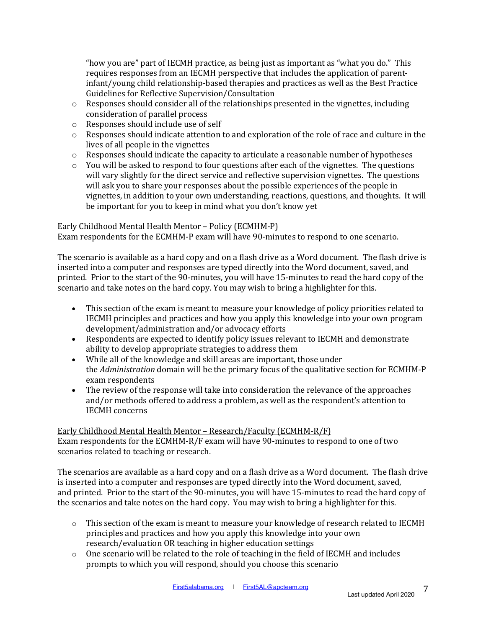"how you are" part of IECMH practice, as being just as important as "what you do." This requires responses from an IECMH perspective that includes the application of parentinfant/voung child relationship-based therapies and practices as well as the Best Practice Guidelines for Reflective Supervision/Consultation

- $\circ$  Responses should consider all of the relationships presented in the vignettes, including consideration of parallel process
- $\circ$  Responses should include use of self
- $\circ$  Responses should indicate attention to and exploration of the role of race and culture in the lives of all people in the vignettes
- $\circ$  Responses should indicate the capacity to articulate a reasonable number of hypotheses
- $\circ$  You will be asked to respond to four questions after each of the vignettes. The questions will vary slightly for the direct service and reflective supervision vignettes. The questions will ask you to share your responses about the possible experiences of the people in vignettes, in addition to your own understanding, reactions, questions, and thoughts. It will be important for you to keep in mind what you don't know yet

### Early Childhood Mental Health Mentor - Policy (ECMHM-P)

Exam respondents for the ECMHM-P exam will have 90-minutes to respond to one scenario.

The scenario is available as a hard copy and on a flash drive as a Word document. The flash drive is inserted into a computer and responses are typed directly into the Word document, saved, and printed. Prior to the start of the 90-minutes, you will have 15-minutes to read the hard copy of the scenario and take notes on the hard copy. You may wish to bring a highlighter for this.

- This section of the exam is meant to measure your knowledge of policy priorities related to IECMH principles and practices and how you apply this knowledge into your own program development/administration and/or advocacy efforts
- Respondents are expected to identify policy issues relevant to IECMH and demonstrate ability to develop appropriate strategies to address them
- While all of the knowledge and skill areas are important, those under the *Administration* domain will be the primary focus of the qualitative section for ECMHM-P exam respondents
- The review of the response will take into consideration the relevance of the approaches and/or methods offered to address a problem, as well as the respondent's attention to IECMH concerns

## Early Childhood Mental Health Mentor - Research/Faculty (ECMHM-R/F)

Exam respondents for the ECMHM-R/F exam will have 90-minutes to respond to one of two scenarios related to teaching or research.

The scenarios are available as a hard copy and on a flash drive as a Word document. The flash drive is inserted into a computer and responses are typed directly into the Word document, saved, and printed. Prior to the start of the 90-minutes, you will have 15-minutes to read the hard copy of the scenarios and take notes on the hard copy. You may wish to bring a highlighter for this.

- $\circ$  This section of the exam is meant to measure your knowledge of research related to IECMH principles and practices and how you apply this knowledge into your own research/evaluation OR teaching in higher education settings
- $\circ$  One scenario will be related to the role of teaching in the field of IECMH and includes prompts to which you will respond, should you choose this scenario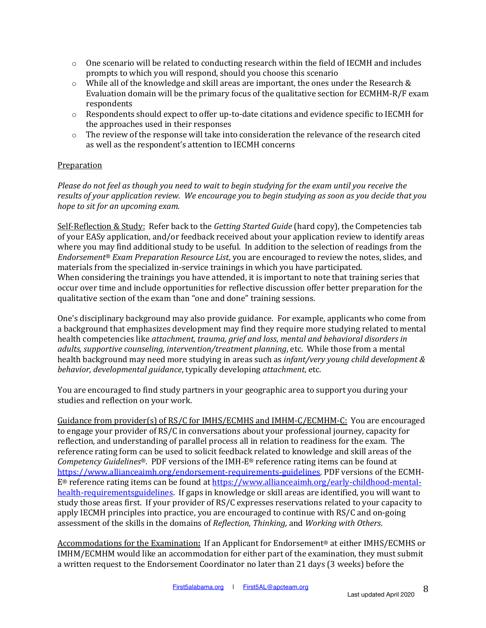- $\circ$  One scenario will be related to conducting research within the field of IECMH and includes prompts to which you will respond, should you choose this scenario
- $\circ$  While all of the knowledge and skill areas are important, the ones under the Research & Evaluation domain will be the primary focus of the qualitative section for  $ECMHM-R/F$  exam respondents
- $\circ$  Respondents should expect to offer up-to-date citations and evidence specific to IECMH for the approaches used in their responses
- $\circ$  The review of the response will take into consideration the relevance of the research cited as well as the respondent's attention to IECMH concerns

### **Preparation**

*Please do not feel as though you need to wait to begin studying for the exam until you receive the* results of your application review. We encourage you to begin studying as soon as you decide that you *hope to sit for an upcoming exam.* 

Self-Reflection & Study: Refer back to the *Getting Started Guide* (hard copy), the Competencies tab of your EASy application, and/or feedback received about your application review to identify areas where you may find additional study to be useful. In addition to the selection of readings from the *Endorsement<sup>®</sup> Exam Preparation Resource List,* you are encouraged to review the notes, slides, and materials from the specialized in-service trainings in which you have participated. When considering the trainings you have attended, it is important to note that training series that occur over time and include opportunities for reflective discussion offer better preparation for the qualitative section of the exam than "one and done" training sessions.

One's disciplinary background may also provide guidance. For example, applicants who come from a background that emphasizes development may find they require more studying related to mental health competencies like *attachment, trauma, grief and loss, mental and behavioral disorders in adults, supportive counseling, intervention/treatment planning, etc.* While those from a mental health background may need more studying in areas such as *infant/very young child development & behavior, developmental quidance,* typically developing *attachment*, etc.

You are encouraged to find study partners in your geographic area to support you during your studies and reflection on your work.

Guidance from provider(s) of  $RS/C$  for IMHS/ECMHS and IMHM-C/ECMHM-C: You are encouraged to engage your provider of RS/C in conversations about your professional journey, capacity for reflection, and understanding of parallel process all in relation to readiness for the exam. The reference rating form can be used to solicit feedback related to knowledge and skill areas of the *Competency Guidelines®.* PDF versions of the IMH-E® reference rating items can be found at https://www.allianceaimh.org/endorsement-requirements-guidelines. PDF versions of the ECMH- $E<sup>®</sup>$  reference rating items can be found at https://www.allianceaimh.org/early-childhood-mentalhealth-requirementsguidelines. If gaps in knowledge or skill areas are identified, you will want to study those areas first. If your provider of RS/C expresses reservations related to your capacity to apply IECMH principles into practice, you are encouraged to continue with RS/C and on-going assessment of the skills in the domains of *Reflection, Thinking,* and *Working with Others.* 

Accommodations for the Examination: If an Applicant for Endorsement<sup>®</sup> at either IMHS/ECMHS or IMHM/ECMHM would like an accommodation for either part of the examination, they must submit a written request to the Endorsement Coordinator no later than 21 days (3 weeks) before the